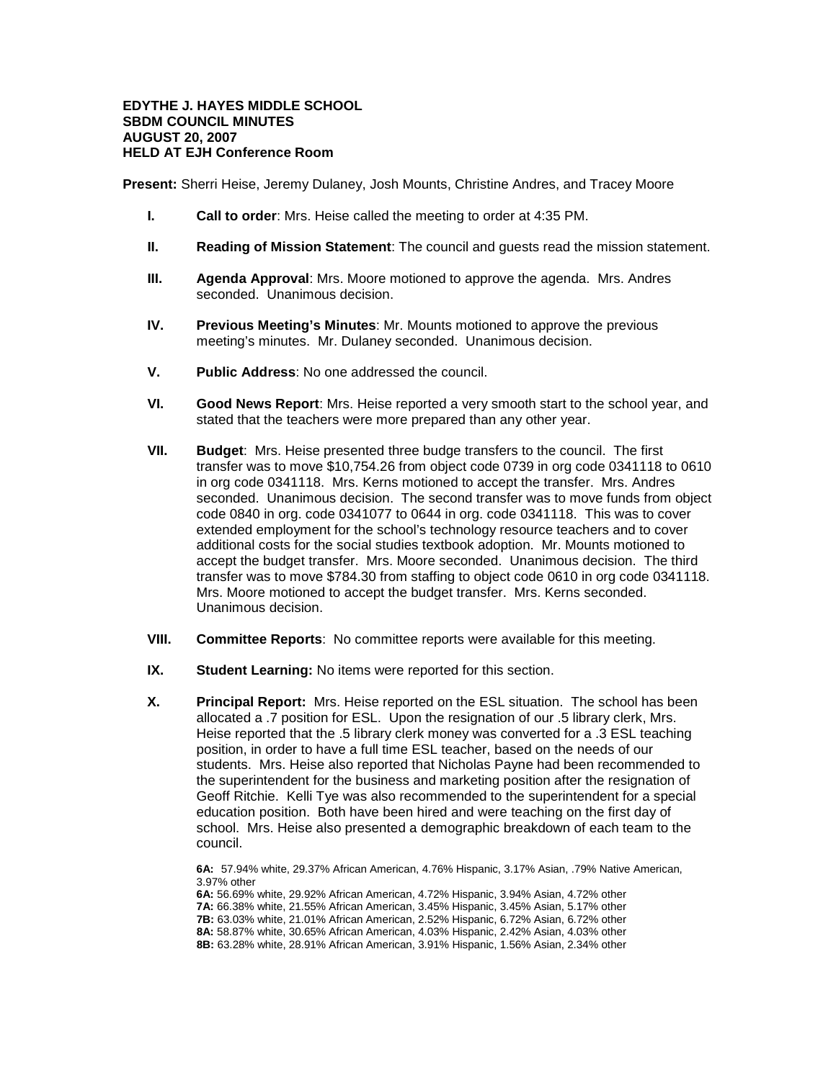## **EDYTHE J. HAYES MIDDLE SCHOOL SBDM COUNCIL MINUTES AUGUST 20, 2007 HELD AT EJH Conference Room**

**Present:** Sherri Heise, Jeremy Dulaney, Josh Mounts, Christine Andres, and Tracey Moore

- **I. Call to order**: Mrs. Heise called the meeting to order at 4:35 PM.
- **II. Reading of Mission Statement**: The council and guests read the mission statement.
- **III. Agenda Approval**: Mrs. Moore motioned to approve the agenda. Mrs. Andres seconded. Unanimous decision.
- **IV. Previous Meeting's Minutes**: Mr. Mounts motioned to approve the previous meeting's minutes. Mr. Dulaney seconded. Unanimous decision.
- **V. Public Address**: No one addressed the council.
- **VI. Good News Report**: Mrs. Heise reported a very smooth start to the school year, and stated that the teachers were more prepared than any other year.
- **VII. Budget**: Mrs. Heise presented three budge transfers to the council. The first transfer was to move \$10,754.26 from object code 0739 in org code 0341118 to 0610 in org code 0341118. Mrs. Kerns motioned to accept the transfer. Mrs. Andres seconded. Unanimous decision. The second transfer was to move funds from object code 0840 in org. code 0341077 to 0644 in org. code 0341118. This was to cover extended employment for the school's technology resource teachers and to cover additional costs for the social studies textbook adoption. Mr. Mounts motioned to accept the budget transfer. Mrs. Moore seconded. Unanimous decision. The third transfer was to move \$784.30 from staffing to object code 0610 in org code 0341118. Mrs. Moore motioned to accept the budget transfer. Mrs. Kerns seconded. Unanimous decision.
- **VIII. Committee Reports**: No committee reports were available for this meeting.
- **IX. Student Learning:** No items were reported for this section.
- **X. Principal Report:** Mrs. Heise reported on the ESL situation. The school has been allocated a .7 position for ESL. Upon the resignation of our .5 library clerk, Mrs. Heise reported that the .5 library clerk money was converted for a .3 ESL teaching position, in order to have a full time ESL teacher, based on the needs of our students. Mrs. Heise also reported that Nicholas Payne had been recommended to the superintendent for the business and marketing position after the resignation of Geoff Ritchie. Kelli Tye was also recommended to the superintendent for a special education position. Both have been hired and were teaching on the first day of school. Mrs. Heise also presented a demographic breakdown of each team to the council.

**6A:** 57.94% white, 29.37% African American, 4.76% Hispanic, 3.17% Asian, .79% Native American, 3.97% other

**6A:** 56.69% white, 29.92% African American, 4.72% Hispanic, 3.94% Asian, 4.72% other **7A:** 66.38% white, 21.55% African American, 3.45% Hispanic, 3.45% Asian, 5.17% other **7B:** 63.03% white, 21.01% African American, 2.52% Hispanic, 6.72% Asian, 6.72% other **8A:** 58.87% white, 30.65% African American, 4.03% Hispanic, 2.42% Asian, 4.03% other **8B:** 63.28% white, 28.91% African American, 3.91% Hispanic, 1.56% Asian, 2.34% other